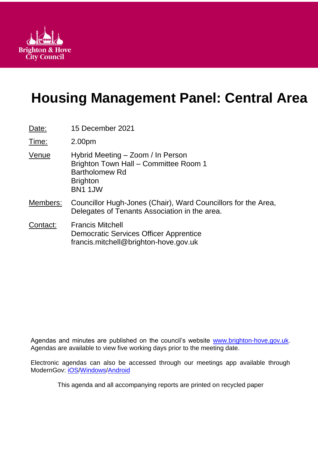

# **Housing Management Panel: Central Area**

| Date:    | 15 December 2021                                                                                                                  |
|----------|-----------------------------------------------------------------------------------------------------------------------------------|
| Time:    | 2.00pm                                                                                                                            |
| Venue    | Hybrid Meeting – Zoom / In Person<br>Brighton Town Hall - Committee Room 1<br><b>Bartholomew Rd</b><br><b>Brighton</b><br>BN1 1JW |
| Members: | Councillor Hugh-Jones (Chair), Ward Councillors for the Area,<br>Delegates of Tenants Association in the area.                    |
| Contact: | <b>Francis Mitchell</b><br>Democratic Services Officer Apprentice<br>francis.mitchell@brighton-hove.gov.uk                        |

Agendas and minutes are published on the council's website [www.brighton-hove.gov.uk.](http://www.brighton-hove.gov.uk/) Agendas are available to view five working days prior to the meeting date.

Electronic agendas can also be accessed through our meetings app available through ModernGov: [iOS](https://play.google.com/store/apps/details?id=uk.co.moderngov.modgov&hl=en_GB)[/Windows/](https://www.microsoft.com/en-gb/p/modgov/9nblggh0c7s7#activetab=pivot:overviewtab)[Android](https://play.google.com/store/apps/details?id=uk.co.moderngov.modgov&hl=en_GB)

This agenda and all accompanying reports are printed on recycled paper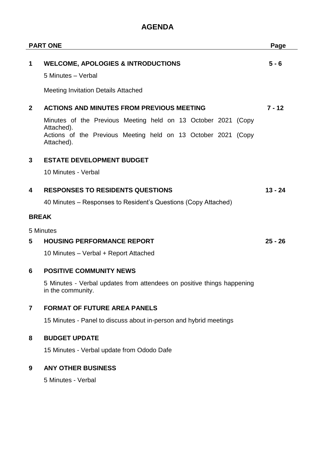## **AGENDA**

|              | <b>PART ONE</b>                                                                                                                                            |           |
|--------------|------------------------------------------------------------------------------------------------------------------------------------------------------------|-----------|
| $\mathbf 1$  | <b>WELCOME, APOLOGIES &amp; INTRODUCTIONS</b><br>5 Minutes - Verbal<br><b>Meeting Invitation Details Attached</b>                                          | $5 - 6$   |
| $\mathbf{2}$ | <b>ACTIONS AND MINUTES FROM PREVIOUS MEETING</b>                                                                                                           | $7 - 12$  |
|              | Minutes of the Previous Meeting held on 13 October 2021 (Copy<br>Attached).<br>Actions of the Previous Meeting held on 13 October 2021 (Copy<br>Attached). |           |
| 3            | <b>ESTATE DEVELOPMENT BUDGET</b>                                                                                                                           |           |
|              | 10 Minutes - Verbal                                                                                                                                        |           |
| 4            | <b>RESPONSES TO RESIDENTS QUESTIONS</b><br>40 Minutes – Responses to Resident's Questions (Copy Attached)                                                  | $13 - 24$ |
| <b>BREAK</b> |                                                                                                                                                            |           |
|              | 5 Minutes                                                                                                                                                  |           |
| 5            | <b>HOUSING PERFORMANCE REPORT</b>                                                                                                                          | $25 - 26$ |
|              | 10 Minutes - Verbal + Report Attached                                                                                                                      |           |
| 6            | <b>POSITIVE COMMUNITY NEWS</b><br>5 Minutes - Verbal updates from attendees on positive things happening                                                   |           |
|              | in the community.                                                                                                                                          |           |
| 7            | <b>FORMAT OF FUTURE AREA PANELS</b>                                                                                                                        |           |

15 Minutes - Panel to discuss about in-person and hybrid meetings

## **8 BUDGET UPDATE**

÷,

15 Minutes - Verbal update from Ododo Dafe

### **9 ANY OTHER BUSINESS**

5 Minutes - Verbal